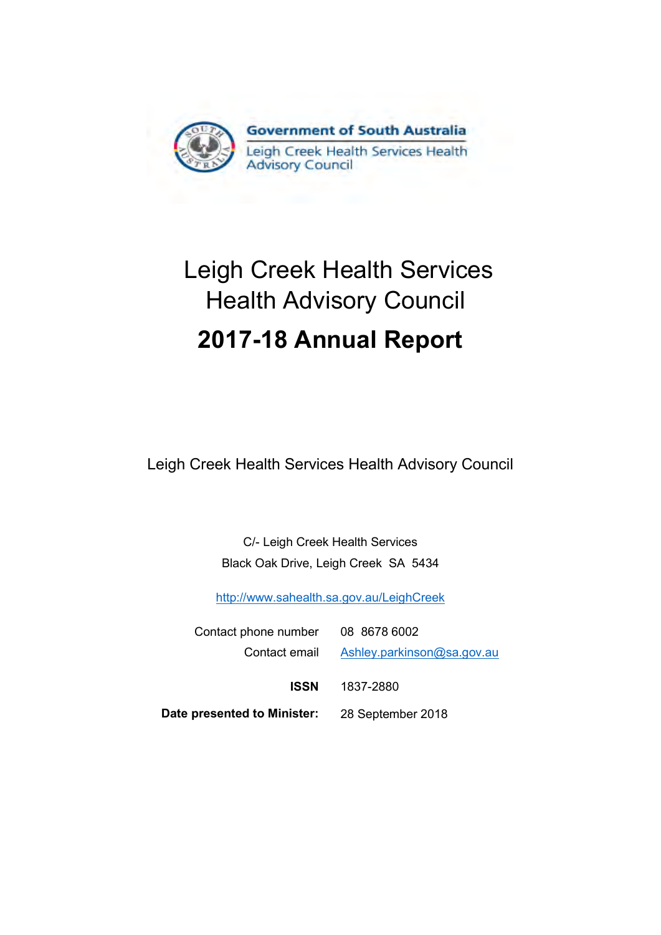

# Leigh Creek Health Services Health Advisory Council **2017-18 Annual Report**

Leigh Creek Health Services Health Advisory Council

C/- Leigh Creek Health Services Black Oak Drive, Leigh Creek SA 5434

[http://www.sahealth.sa.gov.au/LeighCreek](http://www.sahealth.sa.gov.au/wps/wcm/connect/public%20content/sa%20health%20internet/health%20services/hospitals%20and%20health%20services%20-%20country%20south%20australia/far%20north%20hospitals%20and%20health%20services/leigh%20creek%20health%20service/leigh%20creek%20health%20service)

| Contact phone number 08 8678 6002             |                            |  |
|-----------------------------------------------|----------------------------|--|
| Contact email                                 | Ashley.parkinson@sa.gov.au |  |
| ISSN                                          | 1837-2880                  |  |
| Date presented to Minister: 28 September 2018 |                            |  |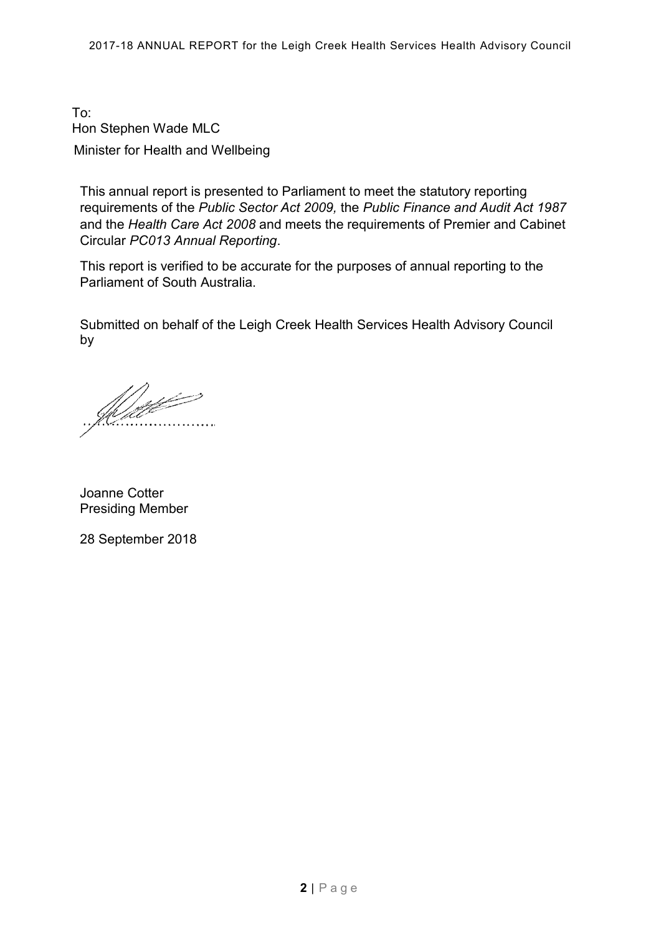To: Hon Stephen Wade MLC Minister for Health and Wellbeing

This annual report is presented to Parliament to meet the statutory reporting requirements of the *Public Sector Act 2009,* the *Public Finance and Audit Act 1987*  and the *Health Care Act 2008* and meets the requirements of Premier and Cabinet Circular *PC013 Annual Reporting*.

This report is verified to be accurate for the purposes of annual reporting to the Parliament of South Australia.

Submitted on behalf of the Leigh Creek Health Services Health Advisory Council by

<u>Matt</u> . . . . . . . . . .

Joanne Cotter Presiding Member

28 September 2018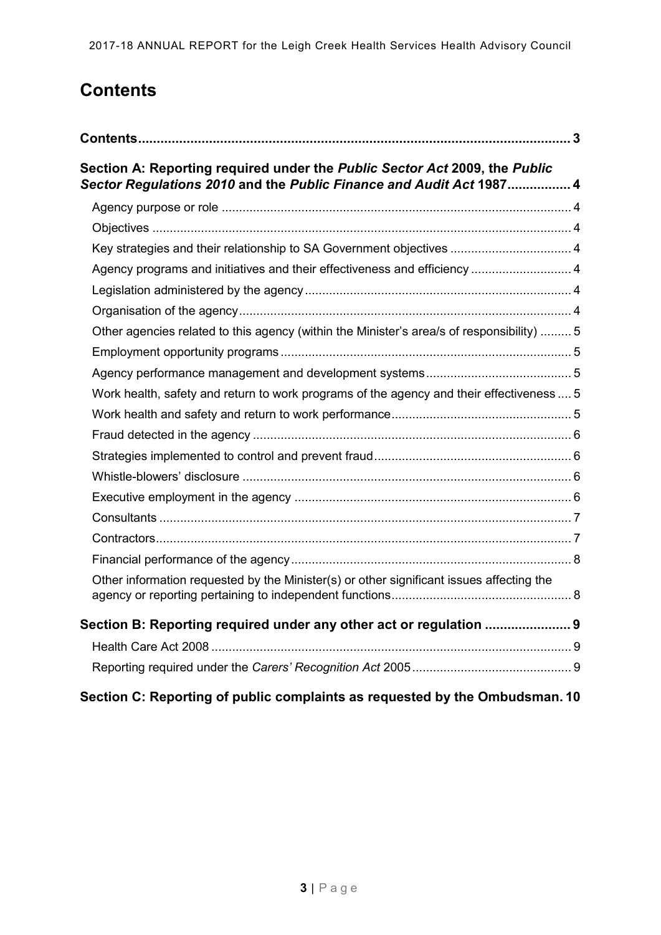# <span id="page-2-0"></span>**Contents**

| Section A: Reporting required under the Public Sector Act 2009, the Public<br>Sector Regulations 2010 and the Public Finance and Audit Act 1987 4 |  |
|---------------------------------------------------------------------------------------------------------------------------------------------------|--|
|                                                                                                                                                   |  |
|                                                                                                                                                   |  |
| Key strategies and their relationship to SA Government objectives  4                                                                              |  |
| Agency programs and initiatives and their effectiveness and efficiency  4                                                                         |  |
|                                                                                                                                                   |  |
|                                                                                                                                                   |  |
| Other agencies related to this agency (within the Minister's area/s of responsibility)  5                                                         |  |
|                                                                                                                                                   |  |
|                                                                                                                                                   |  |
| Work health, safety and return to work programs of the agency and their effectiveness  5                                                          |  |
|                                                                                                                                                   |  |
|                                                                                                                                                   |  |
|                                                                                                                                                   |  |
|                                                                                                                                                   |  |
|                                                                                                                                                   |  |
|                                                                                                                                                   |  |
|                                                                                                                                                   |  |
|                                                                                                                                                   |  |
| Other information requested by the Minister(s) or other significant issues affecting the                                                          |  |
| Section B: Reporting required under any other act or regulation  9                                                                                |  |
|                                                                                                                                                   |  |
|                                                                                                                                                   |  |
| Section C: Reporting of public complaints as requested by the Ombudsman. 10                                                                       |  |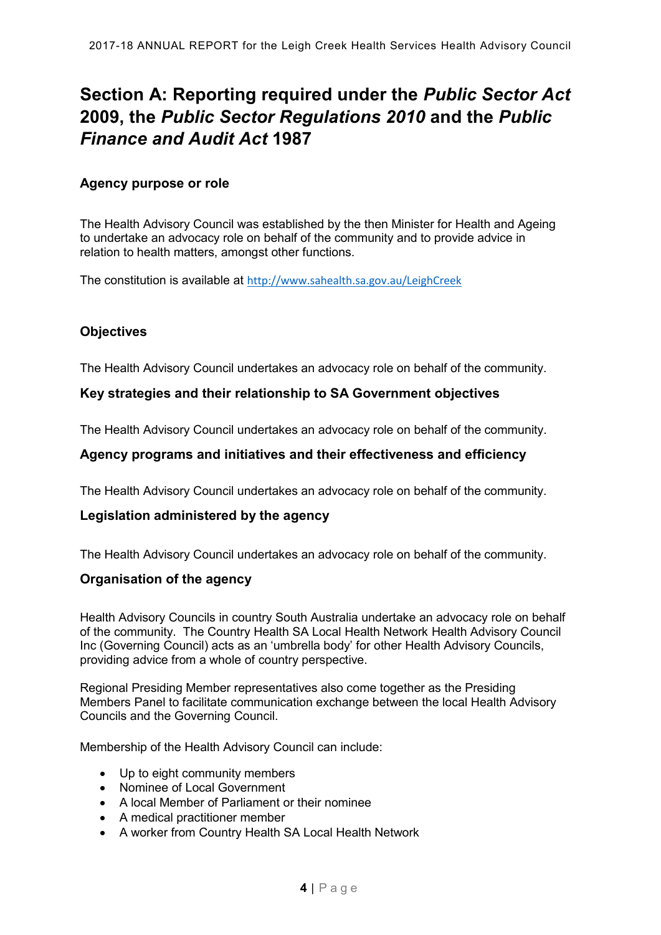# <span id="page-3-0"></span>**Section A: Reporting required under the** *Public Sector Act* **2009, the** *Public Sector Regulations 2010* **and the** *Public Finance and Audit Act* **1987**

#### <span id="page-3-1"></span>**Agency purpose or role**

The Health Advisory Council was established by the then Minister for Health and Ageing to undertake an advocacy role on behalf of the community and to provide advice in relation to health matters, amongst other functions.

The constitution is available at [http://www.sahealth.sa.gov.au/LeighCreek](http://www.sahealth.sa.gov.au/wps/wcm/connect/public%20content/sa%20health%20internet/health%20services/hospitals%20and%20health%20services%20-%20country%20south%20australia/far%20north%20hospitals%20and%20health%20services/leigh%20creek%20health%20service/leigh%20creek%20health%20service)

#### <span id="page-3-2"></span>**Objectives**

The Health Advisory Council undertakes an advocacy role on behalf of the community.

#### <span id="page-3-3"></span>**Key strategies and their relationship to SA Government objectives**

The Health Advisory Council undertakes an advocacy role on behalf of the community.

#### <span id="page-3-4"></span>**Agency programs and initiatives and their effectiveness and efficiency**

The Health Advisory Council undertakes an advocacy role on behalf of the community.

#### <span id="page-3-5"></span>**Legislation administered by the agency**

The Health Advisory Council undertakes an advocacy role on behalf of the community.

#### <span id="page-3-6"></span>**Organisation of the agency**

Health Advisory Councils in country South Australia undertake an advocacy role on behalf of the community. The Country Health SA Local Health Network Health Advisory Council Inc (Governing Council) acts as an 'umbrella body' for other Health Advisory Councils, providing advice from a whole of country perspective.

Regional Presiding Member representatives also come together as the Presiding Members Panel to facilitate communication exchange between the local Health Advisory Councils and the Governing Council.

Membership of the Health Advisory Council can include:

- Up to eight community members
- Nominee of Local Government
- A local Member of Parliament or their nominee
- A medical practitioner member
- A worker from Country Health SA Local Health Network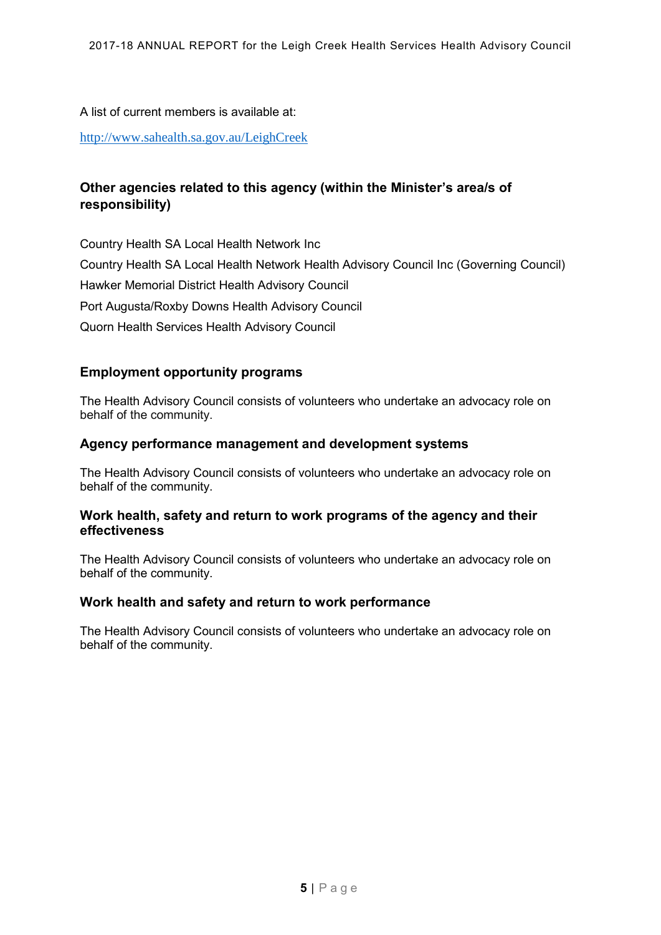A list of current members is available at:

[http://www.sahealth.sa.gov.au/LeighCreek](http://www.sahealth.sa.gov.au/wps/wcm/connect/public%20content/sa%20health%20internet/health%20services/hospitals%20and%20health%20services%20-%20country%20south%20australia/far%20north%20hospitals%20and%20health%20services/leigh%20creek%20health%20service/leigh%20creek%20health%20service)

## <span id="page-4-0"></span>**Other agencies related to this agency (within the Minister's area/s of responsibility)**

Country Health SA Local Health Network Inc Country Health SA Local Health Network Health Advisory Council Inc (Governing Council) Hawker Memorial District Health Advisory Council Port Augusta/Roxby Downs Health Advisory Council Quorn Health Services Health Advisory Council

### <span id="page-4-1"></span>**Employment opportunity programs**

The Health Advisory Council consists of volunteers who undertake an advocacy role on behalf of the community.

#### <span id="page-4-2"></span>**Agency performance management and development systems**

The Health Advisory Council consists of volunteers who undertake an advocacy role on behalf of the community.

#### <span id="page-4-3"></span>**Work health, safety and return to work programs of the agency and their effectiveness**

The Health Advisory Council consists of volunteers who undertake an advocacy role on behalf of the community.

#### <span id="page-4-4"></span>**Work health and safety and return to work performance**

The Health Advisory Council consists of volunteers who undertake an advocacy role on behalf of the community.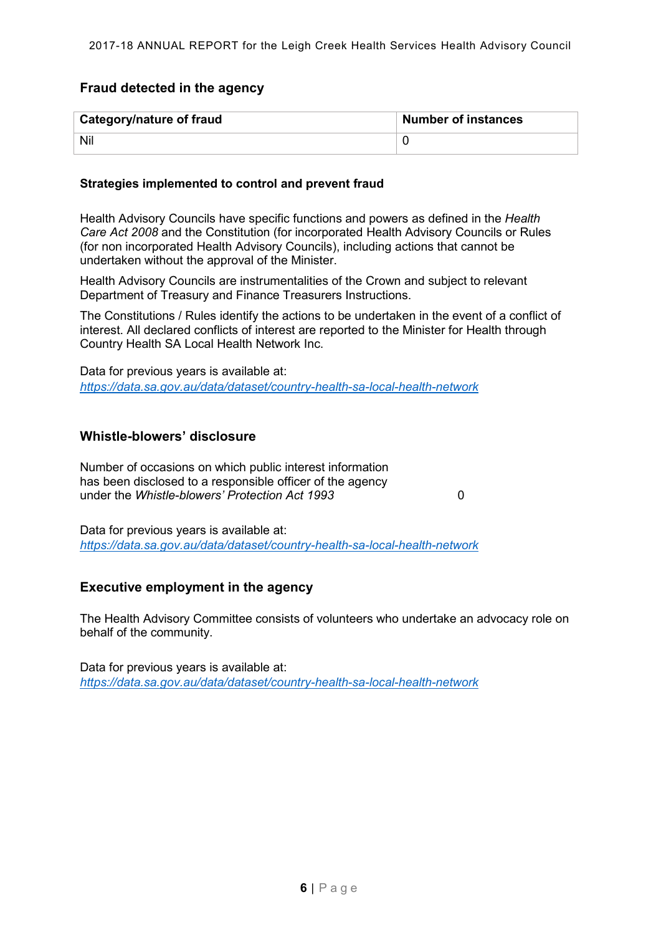#### <span id="page-5-0"></span>**Fraud detected in the agency**

| <b>Category/nature of fraud</b> | <b>Number of instances</b> |
|---------------------------------|----------------------------|
| Nil                             |                            |

#### <span id="page-5-1"></span>**Strategies implemented to control and prevent fraud**

Health Advisory Councils have specific functions and powers as defined in the *Health Care Act 2008* and the Constitution (for incorporated Health Advisory Councils or Rules (for non incorporated Health Advisory Councils), including actions that cannot be undertaken without the approval of the Minister.

Health Advisory Councils are instrumentalities of the Crown and subject to relevant Department of Treasury and Finance Treasurers Instructions.

The Constitutions / Rules identify the actions to be undertaken in the event of a conflict of interest. All declared conflicts of interest are reported to the Minister for Health through Country Health SA Local Health Network Inc.

Data for previous years is available at: *<https://data.sa.gov.au/data/dataset/country-health-sa-local-health-network>*

#### <span id="page-5-2"></span>**Whistle-blowers' disclosure**

Number of occasions on which public interest information has been disclosed to a responsible officer of the agency under the *Whistle-blowers' Protection Act 1993* 0

Data for previous years is available at: *<https://data.sa.gov.au/data/dataset/country-health-sa-local-health-network>*

#### <span id="page-5-3"></span>**Executive employment in the agency**

The Health Advisory Committee consists of volunteers who undertake an advocacy role on behalf of the community.

Data for previous years is available at: *<https://data.sa.gov.au/data/dataset/country-health-sa-local-health-network>*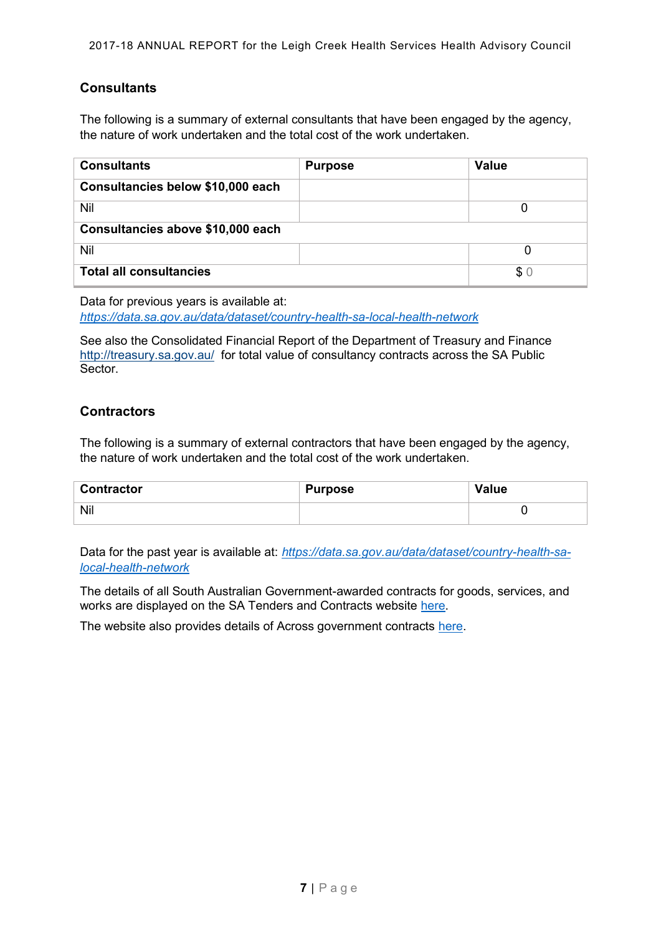### <span id="page-6-0"></span>**Consultants**

The following is a summary of external consultants that have been engaged by the agency, the nature of work undertaken and the total cost of the work undertaken.

| <b>Consultants</b>                | <b>Purpose</b> | <b>Value</b> |  |  |
|-----------------------------------|----------------|--------------|--|--|
| Consultancies below \$10,000 each |                |              |  |  |
| Nil                               |                |              |  |  |
| Consultancies above \$10,000 each |                |              |  |  |
| Nil                               |                |              |  |  |
| <b>Total all consultancies</b>    |                | \$0          |  |  |

Data for previous years is available at: *<https://data.sa.gov.au/data/dataset/country-health-sa-local-health-network>*

See also the Consolidated Financial Report of the Department of Treasury and Finance <http://treasury.sa.gov.au/>for total value of consultancy contracts across the SA Public Sector.

#### <span id="page-6-1"></span>**Contractors**

The following is a summary of external contractors that have been engaged by the agency, the nature of work undertaken and the total cost of the work undertaken.

| <b>Contractor</b> | Purpose | Value |
|-------------------|---------|-------|
| Nil               |         |       |

Data for the past year is available at: *[https://data.sa.gov.au/data/dataset/country-health-sa](https://data.sa.gov.au/data/dataset/country-health-sa-local-health-network)[local-health-network](https://data.sa.gov.au/data/dataset/country-health-sa-local-health-network)*

The details of all South Australian Government-awarded contracts for goods, services, and works are displayed on the SA Tenders and Contracts website [here.](https://www.tenders.sa.gov.au/tenders/contract/list.do?action=contract-view)

The website also provides details of Across government contracts [here.](https://www.tenders.sa.gov.au/tenders/contract/list.do?action=across-gov-contract-view)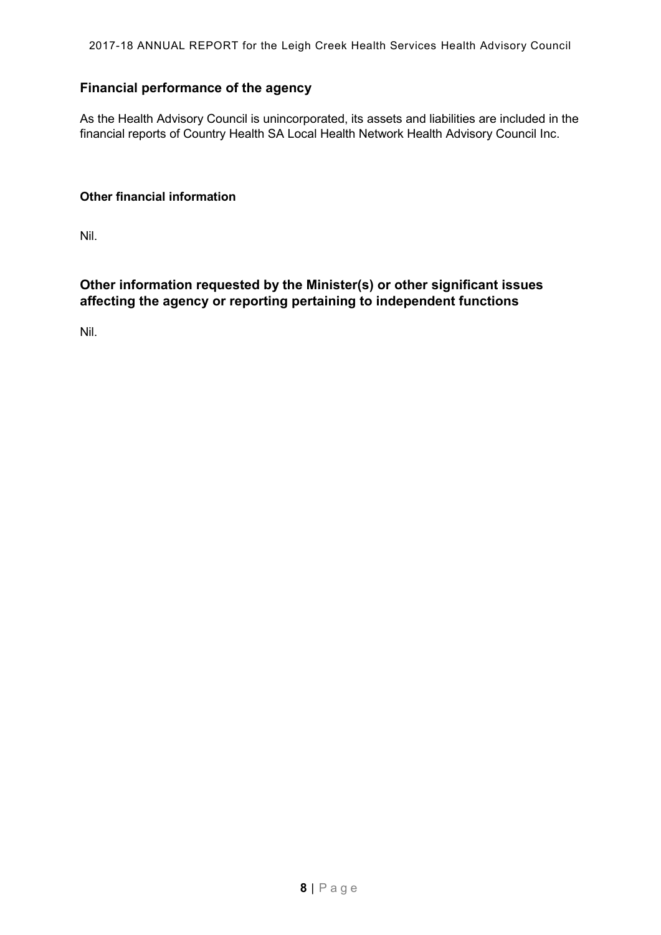2017-18 ANNUAL REPORT for the Leigh Creek Health Services Health Advisory Council

# <span id="page-7-0"></span>**Financial performance of the agency**

As the Health Advisory Council is unincorporated, its assets and liabilities are included in the financial reports of Country Health SA Local Health Network Health Advisory Council Inc.

#### **Other financial information**

Nil.

### <span id="page-7-1"></span>**Other information requested by the Minister(s) or other significant issues affecting the agency or reporting pertaining to independent functions**

Nil.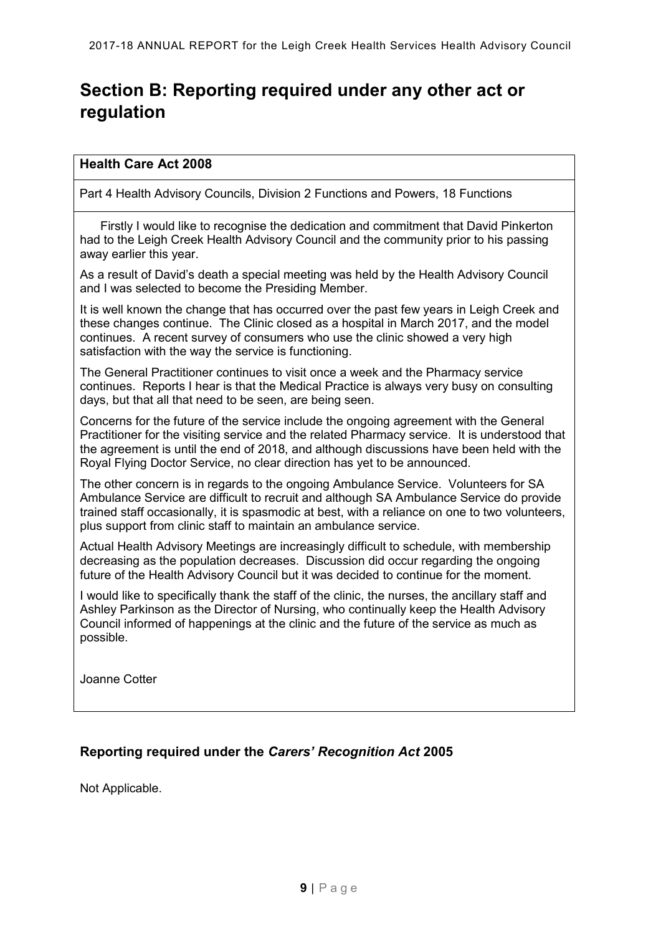# <span id="page-8-0"></span>**Section B: Reporting required under any other act or regulation**

#### <span id="page-8-1"></span>**Health Care Act 2008**

Part 4 Health Advisory Councils, Division 2 Functions and Powers, 18 Functions

 Firstly I would like to recognise the dedication and commitment that David Pinkerton had to the Leigh Creek Health Advisory Council and the community prior to his passing away earlier this year.

As a result of David's death a special meeting was held by the Health Advisory Council and I was selected to become the Presiding Member.

It is well known the change that has occurred over the past few years in Leigh Creek and these changes continue. The Clinic closed as a hospital in March 2017, and the model continues. A recent survey of consumers who use the clinic showed a very high satisfaction with the way the service is functioning.

The General Practitioner continues to visit once a week and the Pharmacy service continues. Reports I hear is that the Medical Practice is always very busy on consulting days, but that all that need to be seen, are being seen.

Concerns for the future of the service include the ongoing agreement with the General Practitioner for the visiting service and the related Pharmacy service. It is understood that the agreement is until the end of 2018, and although discussions have been held with the Royal Flying Doctor Service, no clear direction has yet to be announced.

The other concern is in regards to the ongoing Ambulance Service. Volunteers for SA Ambulance Service are difficult to recruit and although SA Ambulance Service do provide trained staff occasionally, it is spasmodic at best, with a reliance on one to two volunteers, plus support from clinic staff to maintain an ambulance service.

Actual Health Advisory Meetings are increasingly difficult to schedule, with membership decreasing as the population decreases. Discussion did occur regarding the ongoing future of the Health Advisory Council but it was decided to continue for the moment.

I would like to specifically thank the staff of the clinic, the nurses, the ancillary staff and Ashley Parkinson as the Director of Nursing, who continually keep the Health Advisory Council informed of happenings at the clinic and the future of the service as much as possible.

Joanne Cotter

### <span id="page-8-2"></span>**Reporting required under the** *Carers' Recognition Act* **2005**

Not Applicable.